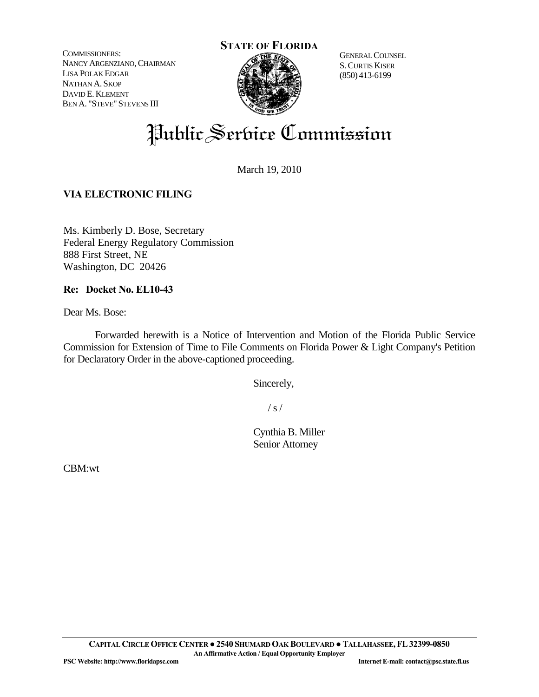COMMISSIONERS: NANCY ARGENZIANO, CHAIRMAN LISA POLAK EDGAR NATHAN A. SKOP DAVID E. KLEMENT BEN A. "STEVE" STEVENS III



GENERAL COUNSEL S.CURTIS KISER (850) 413-6199

# Public Serbice Commission

March 19, 2010

## **VIA ELECTRONIC FILING**

Ms. Kimberly D. Bose, Secretary Federal Energy Regulatory Commission 888 First Street, NE Washington, DC 20426

#### **Re: Docket No. EL10-43**

Dear Ms. Bose:

 Forwarded herewith is a Notice of Intervention and Motion of the Florida Public Service Commission for Extension of Time to File Comments on Florida Power & Light Company's Petition for Declaratory Order in the above-captioned proceeding.

Sincerely,

 $\frac{1}{s}$  /

 Cynthia B. Miller Senior Attorney

CBM:wt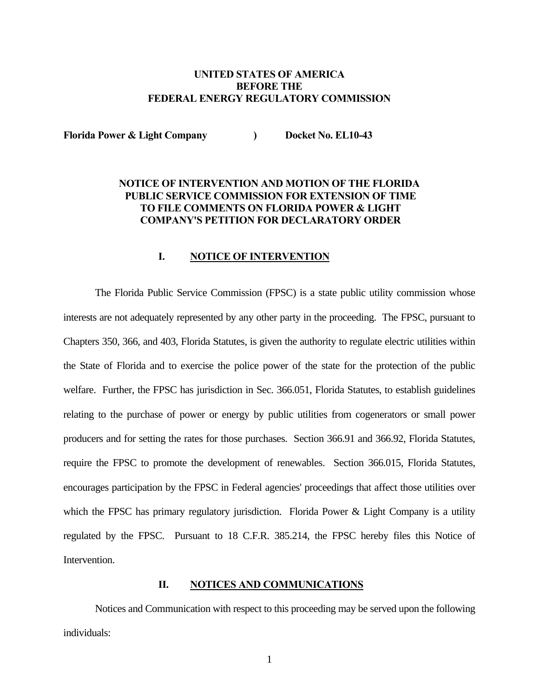#### **UNITED STATES OF AMERICA BEFORE THE FEDERAL ENERGY REGULATORY COMMISSION**

Florida Power & Light Company **Docket No. EL10-43** 

### **NOTICE OF INTERVENTION AND MOTION OF THE FLORIDA PUBLIC SERVICE COMMISSION FOR EXTENSION OF TIME TO FILE COMMENTS ON FLORIDA POWER & LIGHT COMPANY'S PETITION FOR DECLARATORY ORDER**

#### **I. NOTICE OF INTERVENTION**

The Florida Public Service Commission (FPSC) is a state public utility commission whose interests are not adequately represented by any other party in the proceeding. The FPSC, pursuant to Chapters 350, 366, and 403, Florida Statutes, is given the authority to regulate electric utilities within the State of Florida and to exercise the police power of the state for the protection of the public welfare. Further, the FPSC has jurisdiction in Sec. 366.051, Florida Statutes, to establish guidelines relating to the purchase of power or energy by public utilities from cogenerators or small power producers and for setting the rates for those purchases. Section 366.91 and 366.92, Florida Statutes, require the FPSC to promote the development of renewables. Section 366.015, Florida Statutes, encourages participation by the FPSC in Federal agencies' proceedings that affect those utilities over which the FPSC has primary regulatory jurisdiction. Florida Power & Light Company is a utility regulated by the FPSC. Pursuant to 18 C.F.R. 385.214, the FPSC hereby files this Notice of Intervention.

#### **II. NOTICES AND COMMUNICATIONS**

Notices and Communication with respect to this proceeding may be served upon the following individuals: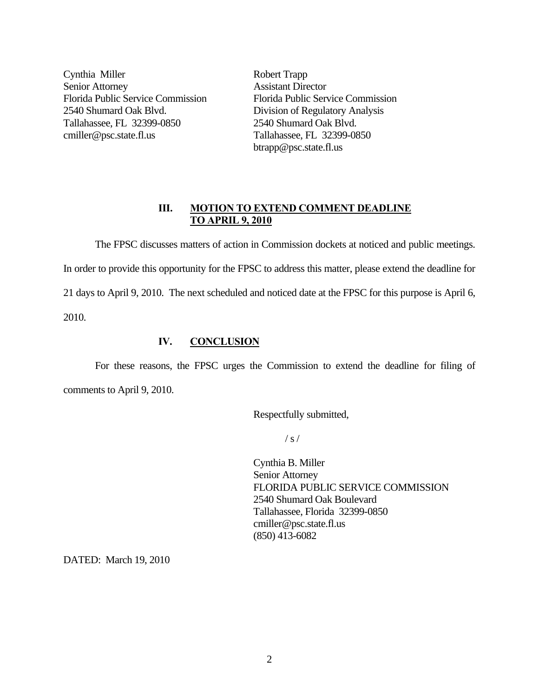Cynthia Miller Robert Trapp Senior Attorney Assistant Director 2540 Shumard Oak Blvd. Division of Regulatory Analysis Tallahassee, FL 32399-0850 2540 Shumard Oak Blvd. cmiller@psc.state.fl.us Tallahassee, FL 32399-0850

Florida Public Service Commission Florida Public Service Commission btrapp@psc.state.fl.us

#### **III. MOTION TO EXTEND COMMENT DEADLINE TO APRIL 9, 2010**

 The FPSC discusses matters of action in Commission dockets at noticed and public meetings. In order to provide this opportunity for the FPSC to address this matter, please extend the deadline for 21 days to April 9, 2010. The next scheduled and noticed date at the FPSC for this purpose is April 6, 2010.

#### **IV. CONCLUSION**

 For these reasons, the FPSC urges the Commission to extend the deadline for filing of comments to April 9, 2010.

Respectfully submitted,

 $\frac{1}{s}$  /

 Cynthia B. Miller Senior Attorney FLORIDA PUBLIC SERVICE COMMISSION 2540 Shumard Oak Boulevard Tallahassee, Florida 32399-0850 cmiller@psc.state.fl.us (850) 413-6082

DATED: March 19, 2010